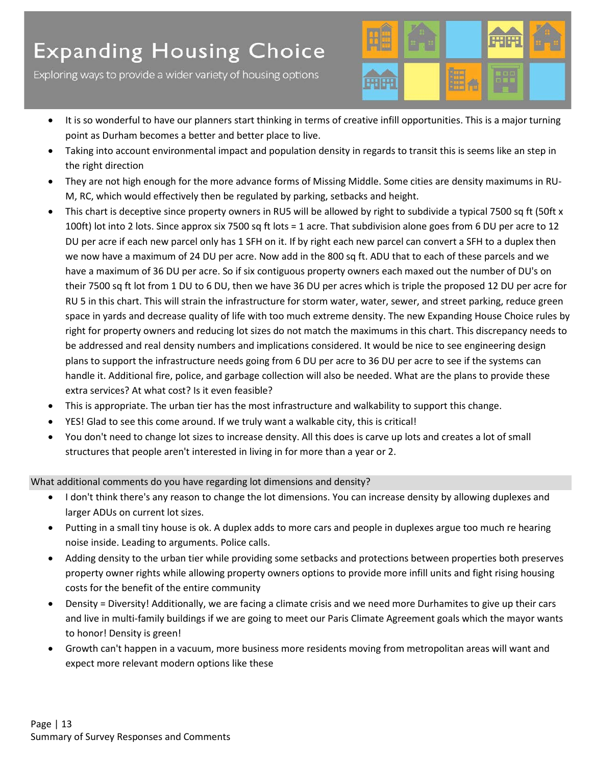Exploring ways to provide a wider variety of housing options



- It is so wonderful to have our planners start thinking in terms of creative infill opportunities. This is a major turning point as Durham becomes a better and better place to live.
- Taking into account environmental impact and population density in regards to transit this is seems like an step in the right direction
- They are not high enough for the more advance forms of Missing Middle. Some cities are density maximums in RU-M, RC, which would effectively then be regulated by parking, setbacks and height.
- This chart is deceptive since property owners in RU5 will be allowed by right to subdivide a typical 7500 sq ft (50ft x 100ft) lot into 2 lots. Since approx six 7500 sq ft lots = 1 acre. That subdivision alone goes from 6 DU per acre to 12 DU per acre if each new parcel only has 1 SFH on it. If by right each new parcel can convert a SFH to a duplex then we now have a maximum of 24 DU per acre. Now add in the 800 sq ft. ADU that to each of these parcels and we have a maximum of 36 DU per acre. So if six contiguous property owners each maxed out the number of DU's on their 7500 sq ft lot from 1 DU to 6 DU, then we have 36 DU per acres which is triple the proposed 12 DU per acre for RU 5 in this chart. This will strain the infrastructure for storm water, water, sewer, and street parking, reduce green space in yards and decrease quality of life with too much extreme density. The new Expanding House Choice rules by right for property owners and reducing lot sizes do not match the maximums in this chart. This discrepancy needs to be addressed and real density numbers and implications considered. It would be nice to see engineering design plans to support the infrastructure needs going from 6 DU per acre to 36 DU per acre to see if the systems can handle it. Additional fire, police, and garbage collection will also be needed. What are the plans to provide these extra services? At what cost? Is it even feasible?
- This is appropriate. The urban tier has the most infrastructure and walkability to support this change.
- YES! Glad to see this come around. If we truly want a walkable city, this is critical!
- You don't need to change lot sizes to increase density. All this does is carve up lots and creates a lot of small structures that people aren't interested in living in for more than a year or 2.

What additional comments do you have regarding lot dimensions and density?

- I don't think there's any reason to change the lot dimensions. You can increase density by allowing duplexes and larger ADUs on current lot sizes.
- Putting in a small tiny house is ok. A duplex adds to more cars and people in duplexes argue too much re hearing noise inside. Leading to arguments. Police calls.
- Adding density to the urban tier while providing some setbacks and protections between properties both preserves property owner rights while allowing property owners options to provide more infill units and fight rising housing costs for the benefit of the entire community
- Density = Diversity! Additionally, we are facing a climate crisis and we need more Durhamites to give up their cars and live in multi-family buildings if we are going to meet our Paris Climate Agreement goals which the mayor wants to honor! Density is green!
- Growth can't happen in a vacuum, more business more residents moving from metropolitan areas will want and expect more relevant modern options like these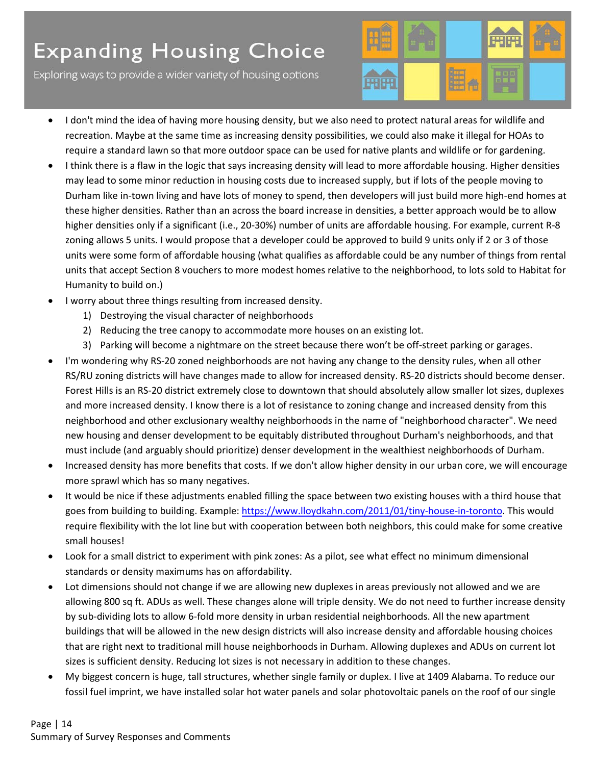Exploring ways to provide a wider variety of housing options



- I don't mind the idea of having more housing density, but we also need to protect natural areas for wildlife and recreation. Maybe at the same time as increasing density possibilities, we could also make it illegal for HOAs to require a standard lawn so that more outdoor space can be used for native plants and wildlife or for gardening.
- I think there is a flaw in the logic that says increasing density will lead to more affordable housing. Higher densities may lead to some minor reduction in housing costs due to increased supply, but if lots of the people moving to Durham like in-town living and have lots of money to spend, then developers will just build more high-end homes at these higher densities. Rather than an across the board increase in densities, a better approach would be to allow higher densities only if a significant (i.e., 20-30%) number of units are affordable housing. For example, current R-8 zoning allows 5 units. I would propose that a developer could be approved to build 9 units only if 2 or 3 of those units were some form of affordable housing (what qualifies as affordable could be any number of things from rental units that accept Section 8 vouchers to more modest homes relative to the neighborhood, to lots sold to Habitat for Humanity to build on.)
- I worry about three things resulting from increased density.
	- 1) Destroying the visual character of neighborhoods
	- 2) Reducing the tree canopy to accommodate more houses on an existing lot.
	- 3) Parking will become a nightmare on the street because there won't be off-street parking or garages.
- I'm wondering why RS-20 zoned neighborhoods are not having any change to the density rules, when all other RS/RU zoning districts will have changes made to allow for increased density. RS-20 districts should become denser. Forest Hills is an RS-20 district extremely close to downtown that should absolutely allow smaller lot sizes, duplexes and more increased density. I know there is a lot of resistance to zoning change and increased density from this neighborhood and other exclusionary wealthy neighborhoods in the name of "neighborhood character". We need new housing and denser development to be equitably distributed throughout Durham's neighborhoods, and that must include (and arguably should prioritize) denser development in the wealthiest neighborhoods of Durham.
- Increased density has more benefits that costs. If we don't allow higher density in our urban core, we will encourage more sprawl which has so many negatives.
- It would be nice if these adjustments enabled filling the space between two existing houses with a third house that goes from building to building. Example: [https://www.lloydkahn.com/2011/01/tiny-house-in-toronto.](https://www.lloydkahn.com/2011/01/tiny-house-in-toronto) This would require flexibility with the lot line but with cooperation between both neighbors, this could make for some creative small houses!
- Look for a small district to experiment with pink zones: As a pilot, see what effect no minimum dimensional standards or density maximums has on affordability.
- Lot dimensions should not change if we are allowing new duplexes in areas previously not allowed and we are allowing 800 sq ft. ADUs as well. These changes alone will triple density. We do not need to further increase density by sub-dividing lots to allow 6-fold more density in urban residential neighborhoods. All the new apartment buildings that will be allowed in the new design districts will also increase density and affordable housing choices that are right next to traditional mill house neighborhoods in Durham. Allowing duplexes and ADUs on current lot sizes is sufficient density. Reducing lot sizes is not necessary in addition to these changes.
- My biggest concern is huge, tall structures, whether single family or duplex. I live at 1409 Alabama. To reduce our fossil fuel imprint, we have installed solar hot water panels and solar photovoltaic panels on the roof of our single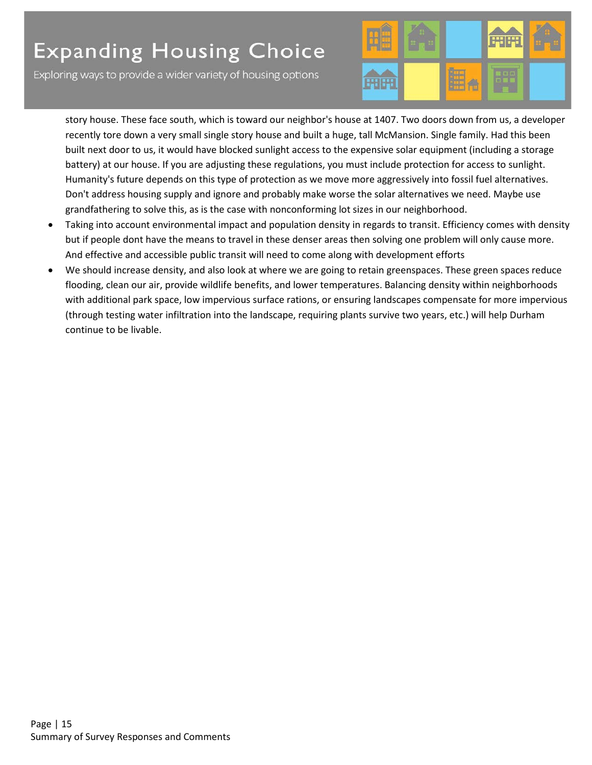Exploring ways to provide a wider variety of housing options



story house. These face south, which is toward our neighbor's house at 1407. Two doors down from us, a developer recently tore down a very small single story house and built a huge, tall McMansion. Single family. Had this been built next door to us, it would have blocked sunlight access to the expensive solar equipment (including a storage battery) at our house. If you are adjusting these regulations, you must include protection for access to sunlight. Humanity's future depends on this type of protection as we move more aggressively into fossil fuel alternatives. Don't address housing supply and ignore and probably make worse the solar alternatives we need. Maybe use grandfathering to solve this, as is the case with nonconforming lot sizes in our neighborhood.

- Taking into account environmental impact and population density in regards to transit. Efficiency comes with density but if people dont have the means to travel in these denser areas then solving one problem will only cause more. And effective and accessible public transit will need to come along with development efforts
- We should increase density, and also look at where we are going to retain greenspaces. These green spaces reduce flooding, clean our air, provide wildlife benefits, and lower temperatures. Balancing density within neighborhoods with additional park space, low impervious surface rations, or ensuring landscapes compensate for more impervious (through testing water infiltration into the landscape, requiring plants survive two years, etc.) will help Durham continue to be livable.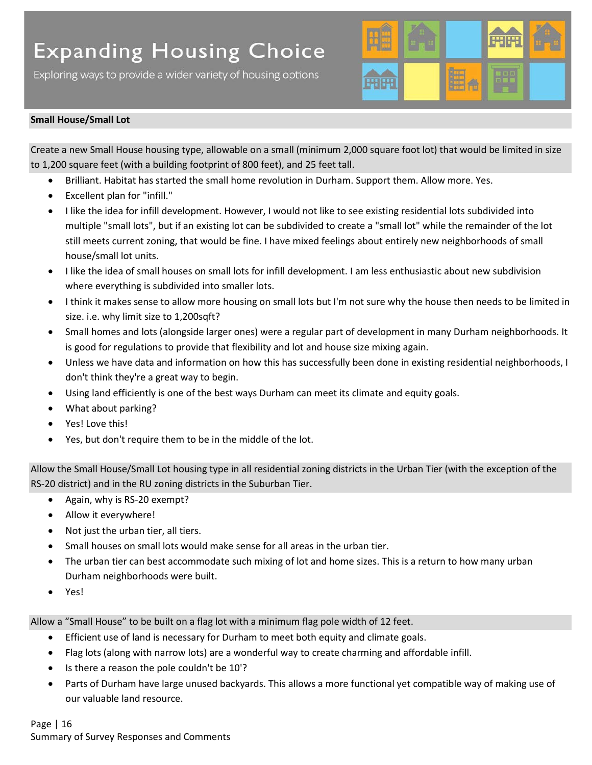Exploring ways to provide a wider variety of housing options



### **Small House/Small Lot**

Create a new Small House housing type, allowable on a small (minimum 2,000 square foot lot) that would be limited in size to 1,200 square feet (with a building footprint of 800 feet), and 25 feet tall.

- Brilliant. Habitat has started the small home revolution in Durham. Support them. Allow more. Yes.
- Excellent plan for "infill."
- I like the idea for infill development. However, I would not like to see existing residential lots subdivided into multiple "small lots", but if an existing lot can be subdivided to create a "small lot" while the remainder of the lot still meets current zoning, that would be fine. I have mixed feelings about entirely new neighborhoods of small house/small lot units.
- I like the idea of small houses on small lots for infill development. I am less enthusiastic about new subdivision where everything is subdivided into smaller lots.
- I think it makes sense to allow more housing on small lots but I'm not sure why the house then needs to be limited in size. i.e. why limit size to 1,200sqft?
- Small homes and lots (alongside larger ones) were a regular part of development in many Durham neighborhoods. It is good for regulations to provide that flexibility and lot and house size mixing again.
- Unless we have data and information on how this has successfully been done in existing residential neighborhoods, I don't think they're a great way to begin.
- Using land efficiently is one of the best ways Durham can meet its climate and equity goals.
- What about parking?
- Yes! Love this!
- Yes, but don't require them to be in the middle of the lot.

Allow the Small House/Small Lot housing type in all residential zoning districts in the Urban Tier (with the exception of the RS-20 district) and in the RU zoning districts in the Suburban Tier.

- Again, why is RS-20 exempt?
- Allow it everywhere!
- Not just the urban tier, all tiers.
- Small houses on small lots would make sense for all areas in the urban tier.
- The urban tier can best accommodate such mixing of lot and home sizes. This is a return to how many urban Durham neighborhoods were built.
- Yes!

Allow a "Small House" to be built on a flag lot with a minimum flag pole width of 12 feet.

- Efficient use of land is necessary for Durham to meet both equity and climate goals.
- Flag lots (along with narrow lots) are a wonderful way to create charming and affordable infill.
- Is there a reason the pole couldn't be 10'?
- Parts of Durham have large unused backyards. This allows a more functional yet compatible way of making use of our valuable land resource.

Page | 16 Summary of Survey Responses and Comments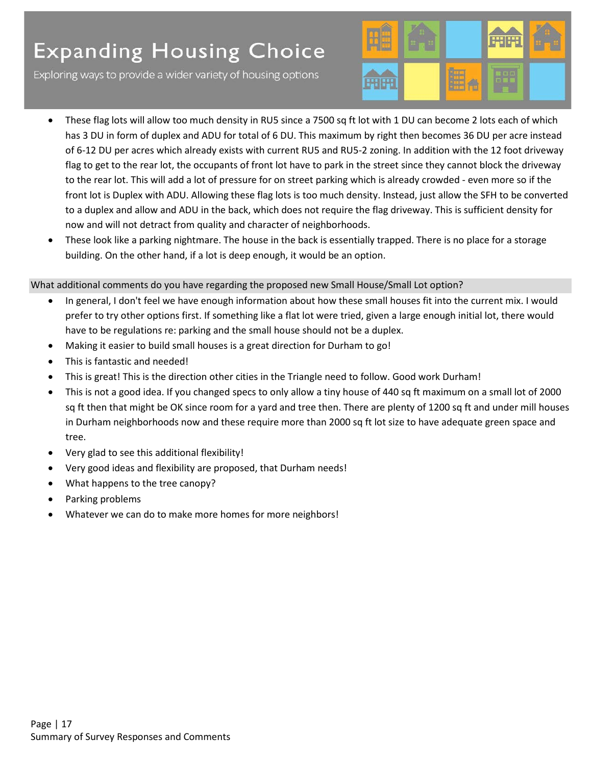Exploring ways to provide a wider variety of housing options



- These flag lots will allow too much density in RU5 since a 7500 sq ft lot with 1 DU can become 2 lots each of which has 3 DU in form of duplex and ADU for total of 6 DU. This maximum by right then becomes 36 DU per acre instead of 6-12 DU per acres which already exists with current RU5 and RU5-2 zoning. In addition with the 12 foot driveway flag to get to the rear lot, the occupants of front lot have to park in the street since they cannot block the driveway to the rear lot. This will add a lot of pressure for on street parking which is already crowded - even more so if the front lot is Duplex with ADU. Allowing these flag lots is too much density. Instead, just allow the SFH to be converted to a duplex and allow and ADU in the back, which does not require the flag driveway. This is sufficient density for now and will not detract from quality and character of neighborhoods.
- These look like a parking nightmare. The house in the back is essentially trapped. There is no place for a storage building. On the other hand, if a lot is deep enough, it would be an option.

#### What additional comments do you have regarding the proposed new Small House/Small Lot option?

- In general, I don't feel we have enough information about how these small houses fit into the current mix. I would prefer to try other options first. If something like a flat lot were tried, given a large enough initial lot, there would have to be regulations re: parking and the small house should not be a duplex.
- Making it easier to build small houses is a great direction for Durham to go!
- This is fantastic and needed!
- This is great! This is the direction other cities in the Triangle need to follow. Good work Durham!
- This is not a good idea. If you changed specs to only allow a tiny house of 440 sq ft maximum on a small lot of 2000 sq ft then that might be OK since room for a yard and tree then. There are plenty of 1200 sq ft and under mill houses in Durham neighborhoods now and these require more than 2000 sq ft lot size to have adequate green space and tree.
- Very glad to see this additional flexibility!
- Very good ideas and flexibility are proposed, that Durham needs!
- What happens to the tree canopy?
- Parking problems
- Whatever we can do to make more homes for more neighbors!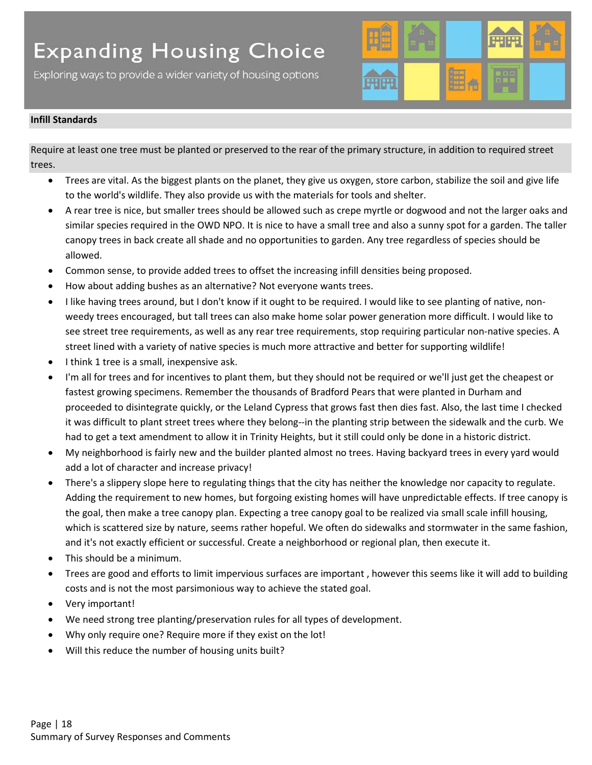Exploring ways to provide a wider variety of housing options



#### **Infill Standards**

Require at least one tree must be planted or preserved to the rear of the primary structure, in addition to required street trees.

- Trees are vital. As the biggest plants on the planet, they give us oxygen, store carbon, stabilize the soil and give life to the world's wildlife. They also provide us with the materials for tools and shelter.
- A rear tree is nice, but smaller trees should be allowed such as crepe myrtle or dogwood and not the larger oaks and similar species required in the OWD NPO. It is nice to have a small tree and also a sunny spot for a garden. The taller canopy trees in back create all shade and no opportunities to garden. Any tree regardless of species should be allowed.
- Common sense, to provide added trees to offset the increasing infill densities being proposed.
- How about adding bushes as an alternative? Not everyone wants trees.
- I like having trees around, but I don't know if it ought to be required. I would like to see planting of native, nonweedy trees encouraged, but tall trees can also make home solar power generation more difficult. I would like to see street tree requirements, as well as any rear tree requirements, stop requiring particular non-native species. A street lined with a variety of native species is much more attractive and better for supporting wildlife!
- I think 1 tree is a small, inexpensive ask.
- I'm all for trees and for incentives to plant them, but they should not be required or we'll just get the cheapest or fastest growing specimens. Remember the thousands of Bradford Pears that were planted in Durham and proceeded to disintegrate quickly, or the Leland Cypress that grows fast then dies fast. Also, the last time I checked it was difficult to plant street trees where they belong--in the planting strip between the sidewalk and the curb. We had to get a text amendment to allow it in Trinity Heights, but it still could only be done in a historic district.
- My neighborhood is fairly new and the builder planted almost no trees. Having backyard trees in every yard would add a lot of character and increase privacy!
- There's a slippery slope here to regulating things that the city has neither the knowledge nor capacity to regulate. Adding the requirement to new homes, but forgoing existing homes will have unpredictable effects. If tree canopy is the goal, then make a tree canopy plan. Expecting a tree canopy goal to be realized via small scale infill housing, which is scattered size by nature, seems rather hopeful. We often do sidewalks and stormwater in the same fashion, and it's not exactly efficient or successful. Create a neighborhood or regional plan, then execute it.
- This should be a minimum.
- Trees are good and efforts to limit impervious surfaces are important , however this seems like it will add to building costs and is not the most parsimonious way to achieve the stated goal.
- Very important!
- We need strong tree planting/preservation rules for all types of development.
- Why only require one? Require more if they exist on the lot!
- Will this reduce the number of housing units built?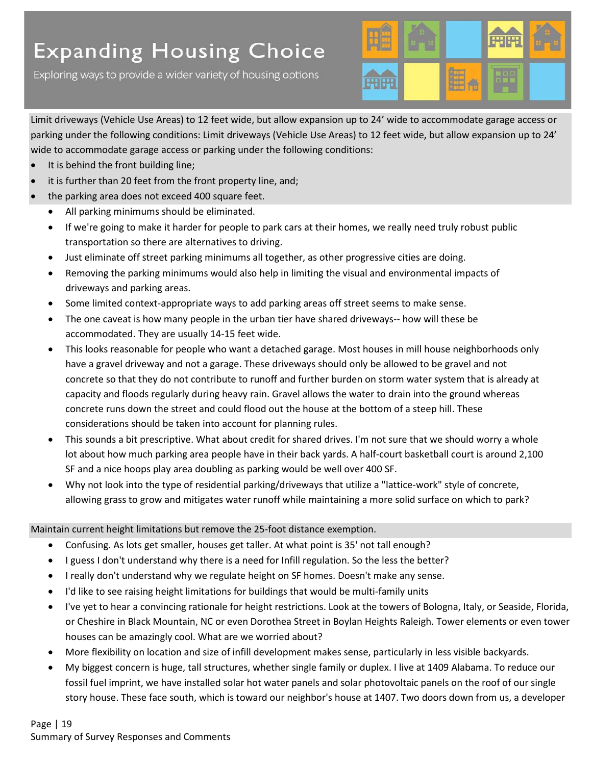Exploring ways to provide a wider variety of housing options



Limit driveways (Vehicle Use Areas) to 12 feet wide, but allow expansion up to 24' wide to accommodate garage access or parking under the following conditions: Limit driveways (Vehicle Use Areas) to 12 feet wide, but allow expansion up to 24' wide to accommodate garage access or parking under the following conditions:

- It is behind the front building line;
- it is further than 20 feet from the front property line, and;
- the parking area does not exceed 400 square feet.
	- All parking minimums should be eliminated.
	- If we're going to make it harder for people to park cars at their homes, we really need truly robust public transportation so there are alternatives to driving.
	- Just eliminate off street parking minimums all together, as other progressive cities are doing.
	- Removing the parking minimums would also help in limiting the visual and environmental impacts of driveways and parking areas.
	- Some limited context-appropriate ways to add parking areas off street seems to make sense.
	- The one caveat is how many people in the urban tier have shared driveways-- how will these be accommodated. They are usually 14-15 feet wide.
	- This looks reasonable for people who want a detached garage. Most houses in mill house neighborhoods only have a gravel driveway and not a garage. These driveways should only be allowed to be gravel and not concrete so that they do not contribute to runoff and further burden on storm water system that is already at capacity and floods regularly during heavy rain. Gravel allows the water to drain into the ground whereas concrete runs down the street and could flood out the house at the bottom of a steep hill. These considerations should be taken into account for planning rules.
	- This sounds a bit prescriptive. What about credit for shared drives. I'm not sure that we should worry a whole lot about how much parking area people have in their back yards. A half-court basketball court is around 2,100 SF and a nice hoops play area doubling as parking would be well over 400 SF.
	- Why not look into the type of residential parking/driveways that utilize a "lattice-work" style of concrete, allowing grass to grow and mitigates water runoff while maintaining a more solid surface on which to park?

#### Maintain current height limitations but remove the 25-foot distance exemption.

- Confusing. As lots get smaller, houses get taller. At what point is 35' not tall enough?
- I guess I don't understand why there is a need for Infill regulation. So the less the better?
- I really don't understand why we regulate height on SF homes. Doesn't make any sense.
- I'd like to see raising height limitations for buildings that would be multi-family units
- I've yet to hear a convincing rationale for height restrictions. Look at the towers of Bologna, Italy, or Seaside, Florida, or Cheshire in Black Mountain, NC or even Dorothea Street in Boylan Heights Raleigh. Tower elements or even tower houses can be amazingly cool. What are we worried about?
- More flexibility on location and size of infill development makes sense, particularly in less visible backyards.
- My biggest concern is huge, tall structures, whether single family or duplex. I live at 1409 Alabama. To reduce our fossil fuel imprint, we have installed solar hot water panels and solar photovoltaic panels on the roof of our single story house. These face south, which is toward our neighbor's house at 1407. Two doors down from us, a developer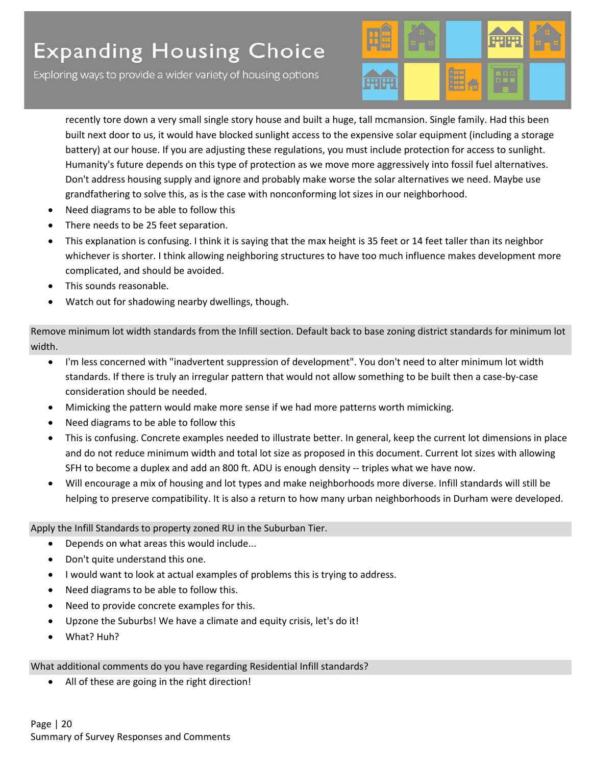Exploring ways to provide a wider variety of housing options



recently tore down a very small single story house and built a huge, tall mcmansion. Single family. Had this been built next door to us, it would have blocked sunlight access to the expensive solar equipment (including a storage battery) at our house. If you are adjusting these regulations, you must include protection for access to sunlight. Humanity's future depends on this type of protection as we move more aggressively into fossil fuel alternatives. Don't address housing supply and ignore and probably make worse the solar alternatives we need. Maybe use grandfathering to solve this, as is the case with nonconforming lot sizes in our neighborhood.

- Need diagrams to be able to follow this
- There needs to be 25 feet separation.
- This explanation is confusing. I think it is saying that the max height is 35 feet or 14 feet taller than its neighbor whichever is shorter. I think allowing neighboring structures to have too much influence makes development more complicated, and should be avoided.
- This sounds reasonable.
- Watch out for shadowing nearby dwellings, though.

Remove minimum lot width standards from the Infill section. Default back to base zoning district standards for minimum lot width.

- I'm less concerned with "inadvertent suppression of development". You don't need to alter minimum lot width standards. If there is truly an irregular pattern that would not allow something to be built then a case-by-case consideration should be needed.
- Mimicking the pattern would make more sense if we had more patterns worth mimicking.
- Need diagrams to be able to follow this
- This is confusing. Concrete examples needed to illustrate better. In general, keep the current lot dimensions in place and do not reduce minimum width and total lot size as proposed in this document. Current lot sizes with allowing SFH to become a duplex and add an 800 ft. ADU is enough density -- triples what we have now.
- Will encourage a mix of housing and lot types and make neighborhoods more diverse. Infill standards will still be helping to preserve compatibility. It is also a return to how many urban neighborhoods in Durham were developed.

#### Apply the Infill Standards to property zoned RU in the Suburban Tier.

- Depends on what areas this would include...
- Don't quite understand this one.
- I would want to look at actual examples of problems this is trying to address.
- Need diagrams to be able to follow this.
- Need to provide concrete examples for this.
- Upzone the Suburbs! We have a climate and equity crisis, let's do it!
- What? Huh?

What additional comments do you have regarding Residential Infill standards?

All of these are going in the right direction!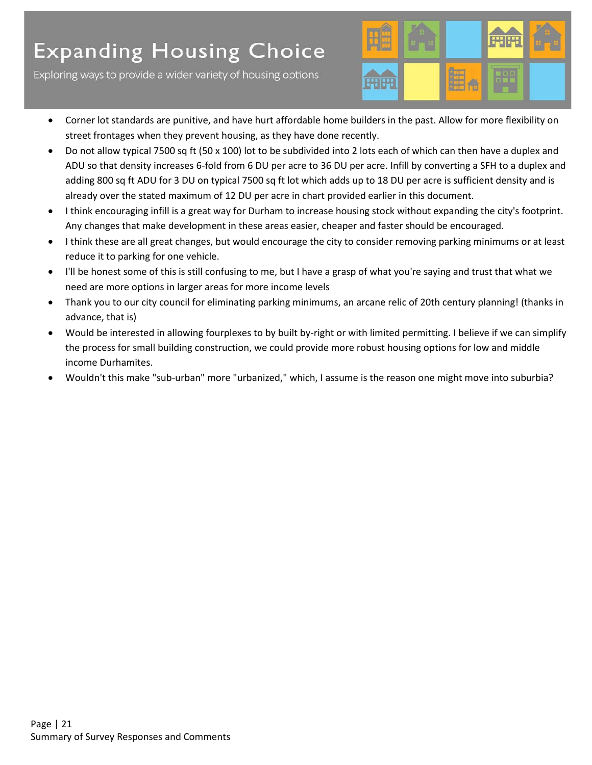Exploring ways to provide a wider variety of housing options



- Corner lot standards are punitive, and have hurt affordable home builders in the past. Allow for more flexibility on street frontages when they prevent housing, as they have done recently.
- Do not allow typical 7500 sq ft (50 x 100) lot to be subdivided into 2 lots each of which can then have a duplex and ADU so that density increases 6-fold from 6 DU per acre to 36 DU per acre. Infill by converting a SFH to a duplex and adding 800 sq ft ADU for 3 DU on typical 7500 sq ft lot which adds up to 18 DU per acre is sufficient density and is already over the stated maximum of 12 DU per acre in chart provided earlier in this document.
- I think encouraging infill is a great way for Durham to increase housing stock without expanding the city's footprint. Any changes that make development in these areas easier, cheaper and faster should be encouraged.
- I think these are all great changes, but would encourage the city to consider removing parking minimums or at least reduce it to parking for one vehicle.
- I'll be honest some of this is still confusing to me, but I have a grasp of what you're saying and trust that what we need are more options in larger areas for more income levels
- Thank you to our city council for eliminating parking minimums, an arcane relic of 20th century planning! (thanks in advance, that is)
- Would be interested in allowing fourplexes to by built by-right or with limited permitting. I believe if we can simplify the process for small building construction, we could provide more robust housing options for low and middle income Durhamites.
- Wouldn't this make "sub-urban" more "urbanized," which, I assume is the reason one might move into suburbia?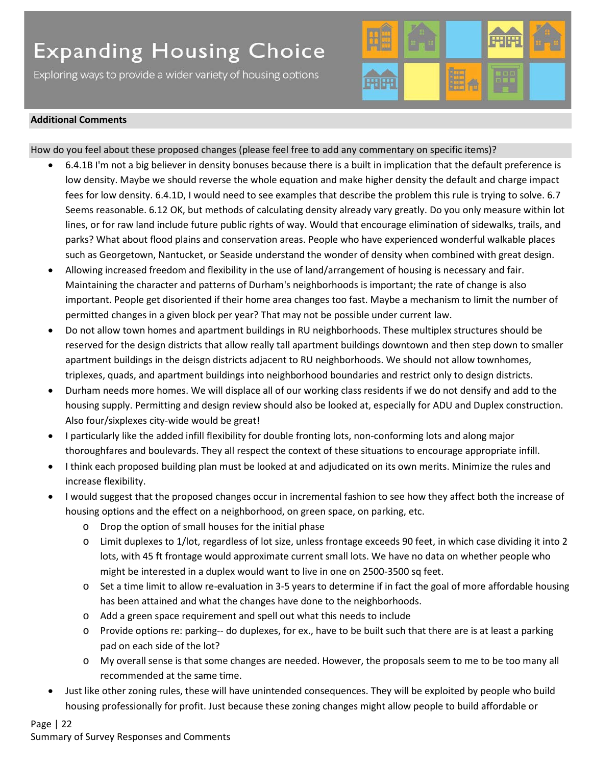Exploring ways to provide a wider variety of housing options



### **Additional Comments**

How do you feel about these proposed changes (please feel free to add any commentary on specific items)?

- 6.4.1B I'm not a big believer in density bonuses because there is a built in implication that the default preference is low density. Maybe we should reverse the whole equation and make higher density the default and charge impact fees for low density. 6.4.1D, I would need to see examples that describe the problem this rule is trying to solve. 6.7 Seems reasonable. 6.12 OK, but methods of calculating density already vary greatly. Do you only measure within lot lines, or for raw land include future public rights of way. Would that encourage elimination of sidewalks, trails, and parks? What about flood plains and conservation areas. People who have experienced wonderful walkable places such as Georgetown, Nantucket, or Seaside understand the wonder of density when combined with great design.
- Allowing increased freedom and flexibility in the use of land/arrangement of housing is necessary and fair. Maintaining the character and patterns of Durham's neighborhoods is important; the rate of change is also important. People get disoriented if their home area changes too fast. Maybe a mechanism to limit the number of permitted changes in a given block per year? That may not be possible under current law.
- Do not allow town homes and apartment buildings in RU neighborhoods. These multiplex structures should be reserved for the design districts that allow really tall apartment buildings downtown and then step down to smaller apartment buildings in the deisgn districts adjacent to RU neighborhoods. We should not allow townhomes, triplexes, quads, and apartment buildings into neighborhood boundaries and restrict only to design districts.
- Durham needs more homes. We will displace all of our working class residents if we do not densify and add to the housing supply. Permitting and design review should also be looked at, especially for ADU and Duplex construction. Also four/sixplexes city-wide would be great!
- I particularly like the added infill flexibility for double fronting lots, non-conforming lots and along major thoroughfares and boulevards. They all respect the context of these situations to encourage appropriate infill.
- I think each proposed building plan must be looked at and adjudicated on its own merits. Minimize the rules and increase flexibility.
- I would suggest that the proposed changes occur in incremental fashion to see how they affect both the increase of housing options and the effect on a neighborhood, on green space, on parking, etc.
	- o Drop the option of small houses for the initial phase
	- o Limit duplexes to 1/lot, regardless of lot size, unless frontage exceeds 90 feet, in which case dividing it into 2 lots, with 45 ft frontage would approximate current small lots. We have no data on whether people who might be interested in a duplex would want to live in one on 2500-3500 sq feet.
	- o Set a time limit to allow re-evaluation in 3-5 years to determine if in fact the goal of more affordable housing has been attained and what the changes have done to the neighborhoods.
	- o Add a green space requirement and spell out what this needs to include
	- o Provide options re: parking-- do duplexes, for ex., have to be built such that there are is at least a parking pad on each side of the lot?
	- o My overall sense is that some changes are needed. However, the proposals seem to me to be too many all recommended at the same time.
- Just like other zoning rules, these will have unintended consequences. They will be exploited by people who build housing professionally for profit. Just because these zoning changes might allow people to build affordable or